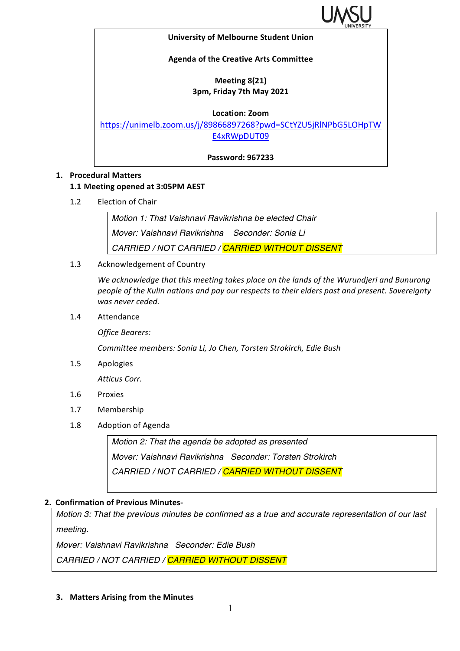

#### **University of Melbourne Student Union**

### **Agenda of the Creative Arts Committee**

### **Meeting 8(21) 3pm, Friday 7th May 2021**

**Location: Zoom**

https://unimelb.zoom.us/j/89866897268?pwd=SCtYZU5jRlNPbG5LOHpTW E4xRWpDUT09

**Password: 967233**

### **1. Procedural Matters**

## **1.1 Meeting opened at 3:05PM AEST**

1.2 Election of Chair

*Motion 1: That Vaishnavi Ravikrishna be elected Chair Mover: Vaishnavi Ravikrishna Seconder: Sonia Li CARRIED / NOT CARRIED / CARRIED WITHOUT DISSENT*

1.3 Acknowledgement of Country

We acknowledge that this meeting takes place on the lands of the Wurundjeri and Bunurong people of the Kulin nations and pay our respects to their elders past and present. Sovereignty *was never ceded.* 

1.4 Attendance

*Office Bearers:*

*Committee members: Sonia Li, Jo Chen, Torsten Strokirch, Edie Bush*

1.5 Apologies

*Atticus Corr.*

- 1.6 Proxies
- 1.7 Membership
- 1.8 Adoption of Agenda

*Motion 2: That the agenda be adopted as presented Mover: Vaishnavi Ravikrishna Seconder: Torsten Strokirch CARRIED / NOT CARRIED / CARRIED WITHOUT DISSENT*

### **2. Confirmation of Previous Minutes-**

*Motion 3: That the previous minutes be confirmed as a true and accurate representation of our last meeting.*

*Mover: Vaishnavi Ravikrishna Seconder: Edie Bush*

*CARRIED / NOT CARRIED / CARRIED WITHOUT DISSENT*

**3.** Matters Arising from the Minutes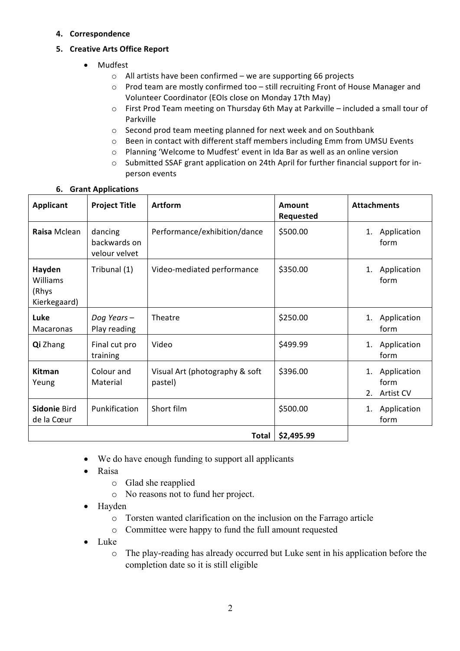**4. Correspondence**

# **5. Creative Arts Office Report**

- Mudfest
	- $\circ$  All artists have been confirmed we are supporting 66 projects
	- $\circ$  Prod team are mostly confirmed too still recruiting Front of House Manager and Volunteer Coordinator (EOIs close on Monday 17th May)
	- $\circ$  First Prod Team meeting on Thursday 6th May at Parkville included a small tour of Parkville
	- $\circ$  Second prod team meeting planned for next week and on Southbank
	- $\circ$  Been in contact with different staff members including Emm from UMSU Events
	- o Planning 'Welcome to Mudfest' event in Ida Bar as well as an online version
	- o Submitted SSAF grant application on 24th April for further financial support for inperson events

| <b>Applicant</b>                            | <b>Project Title</b>                     | <b>Artform</b>                            | Amount<br><b>Requested</b> | <b>Attachments</b>                           |
|---------------------------------------------|------------------------------------------|-------------------------------------------|----------------------------|----------------------------------------------|
| Raisa Mclean                                | dancing<br>backwards on<br>velour velvet | Performance/exhibition/dance              | \$500.00                   | Application<br>1.<br>form                    |
| Hayden<br>Williams<br>(Rhys<br>Kierkegaard) | Tribunal (1)                             | Video-mediated performance                | \$350.00                   | Application<br>1.<br>form                    |
| Luke<br>Macaronas                           | Dog Years-<br>Play reading               | Theatre                                   | \$250.00                   | Application<br>1.<br>form                    |
| Qi Zhang                                    | Final cut pro<br>training                | Video                                     | \$499.99                   | Application<br>1.<br>form                    |
| <b>Kitman</b><br>Yeung                      | Colour and<br>Material                   | Visual Art (photography & soft<br>pastel) | \$396.00                   | Application<br>1.<br>form<br>2.<br>Artist CV |
| Sidonie Bird<br>de la Cœur                  | Punkification                            | Short film                                | \$500.00                   | 1. Application<br>form                       |
| \$2,495.99<br><b>Total</b>                  |                                          |                                           |                            |                                              |

## **6. Grant Applications**

- We do have enough funding to support all applicants
- Raisa
	- o Glad she reapplied
	- o No reasons not to fund her project.
- Hayden
	- o Torsten wanted clarification on the inclusion on the Farrago article
	- o Committee were happy to fund the full amount requested
- Luke
	- o The play-reading has already occurred but Luke sent in his application before the completion date so it is still eligible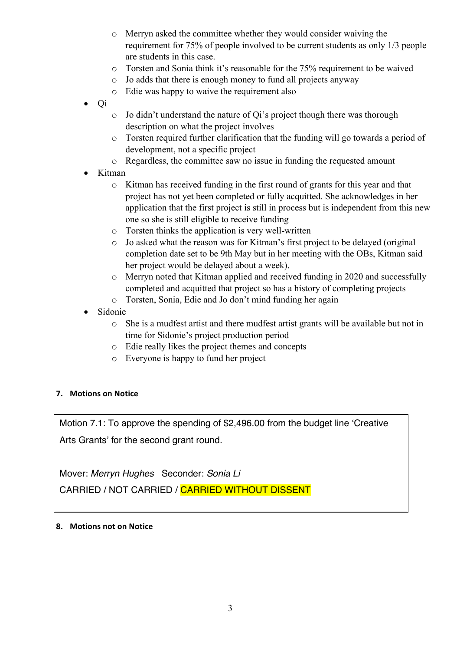- o Merryn asked the committee whether they would consider waiving the requirement for 75% of people involved to be current students as only 1/3 people are students in this case.
- o Torsten and Sonia think it's reasonable for the 75% requirement to be waived
- o Jo adds that there is enough money to fund all projects anyway
- o Edie was happy to waive the requirement also
- Qi
- o Jo didn't understand the nature of Qi's project though there was thorough description on what the project involves
- o Torsten required further clarification that the funding will go towards a period of development, not a specific project
- o Regardless, the committee saw no issue in funding the requested amount
- Kitman
	- o Kitman has received funding in the first round of grants for this year and that project has not yet been completed or fully acquitted. She acknowledges in her application that the first project is still in process but is independent from this new one so she is still eligible to receive funding
	- o Torsten thinks the application is very well-written
	- o Jo asked what the reason was for Kitman's first project to be delayed (original completion date set to be 9th May but in her meeting with the OBs, Kitman said her project would be delayed about a week).
	- o Merryn noted that Kitman applied and received funding in 2020 and successfully completed and acquitted that project so has a history of completing projects
	- o Torsten, Sonia, Edie and Jo don't mind funding her again
- Sidonie
	- o She is a mudfest artist and there mudfest artist grants will be available but not in time for Sidonie's project production period
	- o Edie really likes the project themes and concepts
	- o Everyone is happy to fund her project

# **7. Motions on Notice**

Motion 7.1: To approve the spending of \$2,496.00 from the budget line 'Creative Arts Grants' for the second grant round.

Mover: *Merryn Hughes* Seconder: *Sonia Li*

CARRIED / NOT CARRIED / CARRIED WITHOUT DISSENT

### **8.** Motions not on Notice